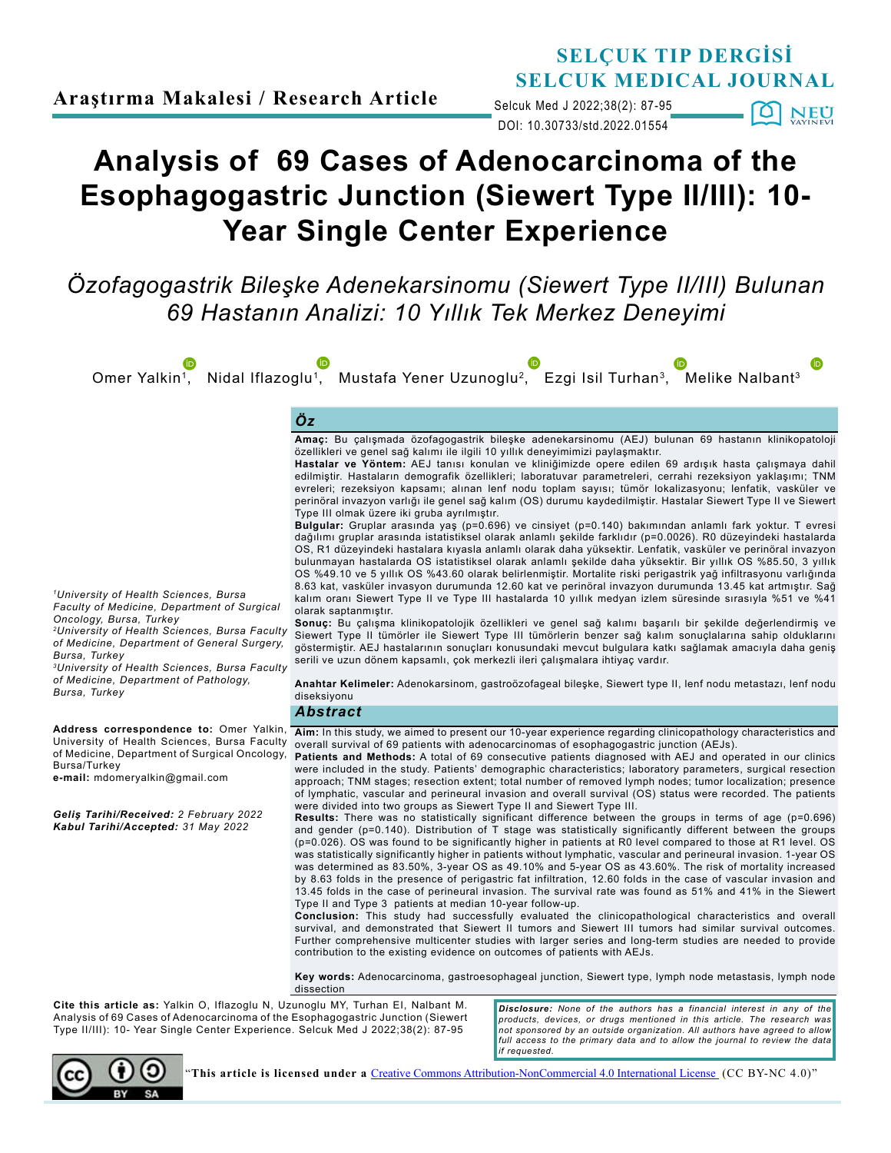# **SELÇUK TIP DERGİSİ SELCUK MEDICAL JOURNAL**

DOI: 10.30733/std.2022.01554 Selcuk Med J 2022;38(2): 87-95  $[O]$  NEU

# **Analysis of 69 Cases of Adenocarcinoma of the Esophagogastric Junction (Siewert Type II/III): 10- Year Single Center Experience**

*Özofagogastrik Bileşke Adenekarsinomu (Siewert Type II/III) Bulunan 69 Hastanın Analizi: 10 Yıllık Tek Merkez Deneyimi*

Omer Yalkin<sup>1</sup>, Nidal Iflazoglu<sup>1</sup>, [M](https://orcid.org/0000-0001-9532-3854)ustafa Yener Uzunoglu<sup>2</sup>, Ezgi Isil Turhan<sup>3</sup>, Melike Nalbant<sup>3</sup>

# *Öz*

**Amaç:** Bu çalışmada özofagogastrik bileşke adenekarsinomu (AEJ) bulunan 69 hastanın klinikopatoloji özellikleri ve genel sağ kalımı ile ilgili 10 yıllık deneyimimizi paylaşmaktır.

**Hastalar ve Yöntem:** AEJ tanısı konulan ve kliniğimizde opere edilen 69 ardışık hasta çalışmaya dahil edilmiştir. Hastaların demografik özellikleri; laboratuvar parametreleri, cerrahi rezeksiyon yaklaşımı; TNM evreleri; rezeksiyon kapsamı; alınan lenf nodu toplam sayısı; tümör lokalizasyonu; lenfatik, vasküler ve perinöral invazyon varlığı ile genel sağ kalım (OS) durumu kaydedilmiştir. Hastalar Siewert Type II ve Siewert Type III olmak üzere iki gruba ayrılmıştır.

**Bulgular:** Gruplar arasında yaş (p=0.696) ve cinsiyet (p=0.140) bakımından anlamlı fark yoktur. T evresi dağılımı gruplar arasında istatistiksel olarak anlamlı şekilde farklıdır (p=0.0026). R0 düzeyindeki hastalarda OS, R1 düzeyindeki hastalara kıyasla anlamlı olarak daha yüksektir. Lenfatik, vasküler ve perinöral invazyon bulunmayan hastalarda OS istatistiksel olarak anlamlı şekilde daha yüksektir. Bir yıllık OS %85.50, 3 yıllık OS %49.10 ve 5 yıllık OS %43.60 olarak belirlenmiştir. Mortalite riski perigastrik yağ infiltrasyonu varlığında 8.63 kat, vasküler invasyon durumunda 12.60 kat ve perinöral invazyon durumunda 13.45 kat artmıştır. Sağ kalım oranı Siewert Type II ve Type III hastalarda 10 yıllık medyan izlem süresinde sırasıyla %51 ve %41 olarak saptanmıştır.

**Sonuç:** Bu çalışma klinikopatolojik özellikleri ve genel sağ kalımı başarılı bir şekilde değerlendirmiş ve Siewert Type II tümörler ile Siewert Type III tümörlerin benzer sağ kalım sonuçlalarına sahip olduklarını göstermiştir. AEJ hastalarının sonuçları konusundaki mevcut bulgulara katkı sağlamak amacıyla daha geniş serili ve uzun dönem kapsamlı, çok merkezli ileri çalışmalara ihtiyaç vardır.

**Anahtar Kelimeler:** Adenokarsinom, gastroözofageal bileşke, Siewert type II, lenf nodu metastazı, lenf nodu diseksiyonu

#### *Abstract*

**Aim:** In this study, we aimed to present our 10-year experience regarding clinicopathology characteristics and University of Health Sciences, Bursa Faculty overall survival of 69 patients with adenocarcinomas of esophagogastric junction (AEJs).

**Patients and Methods:** A total of 69 consecutive patients diagnosed with AEJ and operated in our clinics were included in the study. Patients' demographic characteristics; laboratory parameters, surgical resection approach; TNM stages; resection extent; total number of removed lymph nodes; tumor localization; presence of lymphatic, vascular and perineural invasion and overall survival (OS) status were recorded. The patients were divided into two groups as Siewert Type II and Siewert Type III.

**Results:** There was no statistically significant difference between the groups in terms of age (p=0.696) and gender (p=0.140). Distribution of T stage was statistically significantly different between the groups (p=0.026). OS was found to be significantly higher in patients at R0 level compared to those at R1 level. OS was statistically significantly higher in patients without lymphatic, vascular and perineural invasion. 1-year OS was determined as 83.50%, 3-year OS as 49.10% and 5-year OS as 43.60%. The risk of mortality increased by 8.63 folds in the presence of perigastric fat infiltration, 12.60 folds in the case of vascular invasion and 13.45 folds in the case of perineural invasion. The survival rate was found as 51% and 41% in the Siewert Type II and Type 3 patients at median 10-year follow-up.

**Conclusion:** This study had successfully evaluated the clinicopathological characteristics and overall survival, and demonstrated that Siewert II tumors and Siewert III tumors had similar survival outcomes. Further comprehensive multicenter studies with larger series and long-term studies are needed to provide contribution to the existing evidence on outcomes of patients with AEJs.

**Key words:** Adenocarcinoma, gastroesophageal junction, Siewert type, lymph node metastasis, lymph node dissection

**Cite this article as:** Yalkin O, Iflazoglu N, Uzunoglu MY, Turhan EI, Nalbant M. Analysis of 69 Cases of Adenocarcinoma of the Esophagogastric Junction (Siewert Type II/III): 10- Year Single Center Experience. Selcuk Med J 2022;38(2): 87-95

*Disclosure: None of the authors has a financial interest in any of the products, devices, or drugs mentioned in this article. The research was not sponsored by an outside organization. All authors have agreed to allow full access to the primary data and to allow the journal to review the data if requested.*



"**This article is licensed under a** [Creative Commons Attribution-NonCommercial 4.0 International License](https://creativecommons.org/licenses/by-nc/4.0/) (CC BY-NC 4.0)"

*1University of Health Sciences, Bursa Faculty of Medicine, Department of Surgical Oncology, Bursa, Turkey 2University of Health Sciences, Bursa Faculty* 

*of Medicine, Department of General Surgery, Bursa, Turkey*

*3University of Health Sciences, Bursa Faculty of Medicine, Department of Pathology, Bursa, Turkey*

**Address correspondence to:** Omer Yalkin, of Medicine, Department of Surgical Oncology, Bursa/Turkey

**e-mail:** mdomeryalkin@gmail.com

*Geliş Tarihi/Received: 2 February 2022 Kabul Tarihi/Accepted: 31 May 2022*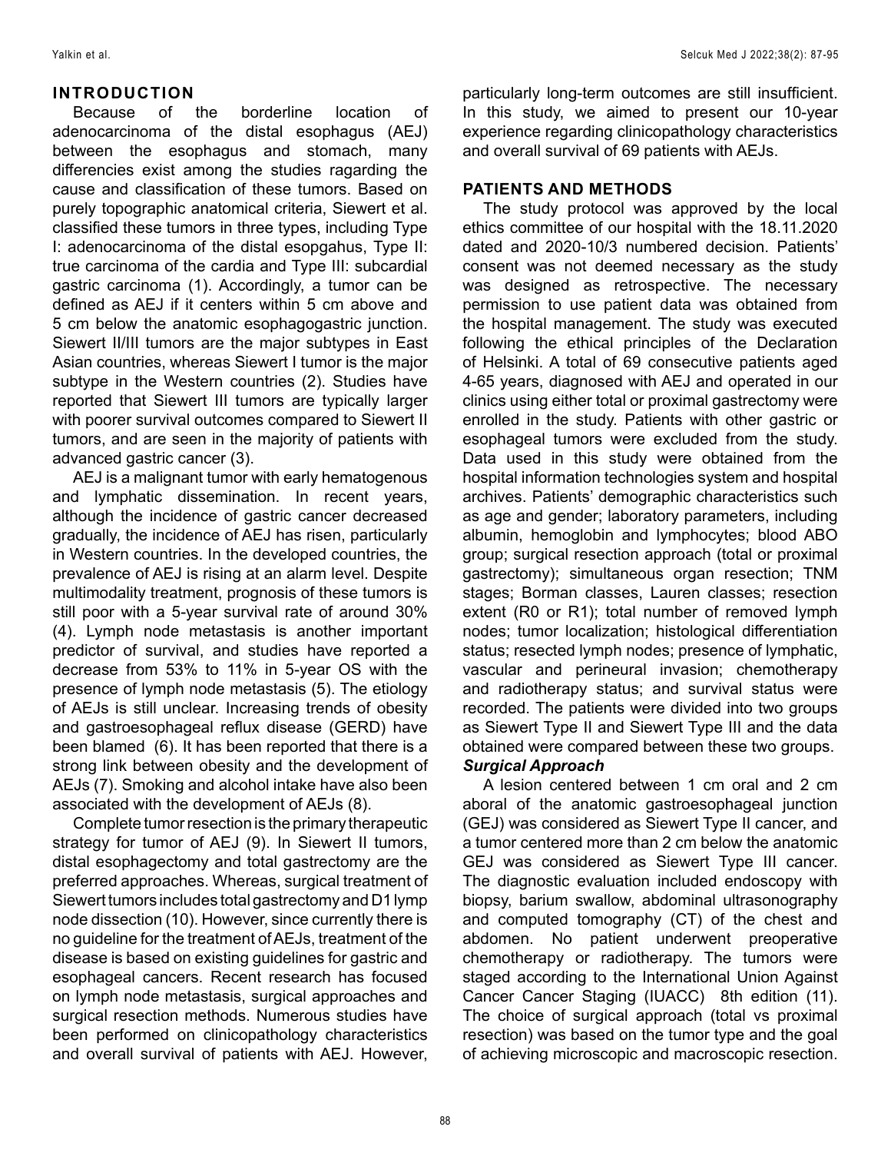# **INTRODUCTION**

Because of the borderline location of adenocarcinoma of the distal esophagus (AEJ) between the esophagus and stomach, many differencies exist among the studies ragarding the cause and classification of these tumors. Based on purely topographic anatomical criteria, Siewert et al. classified these tumors in three types, including Type I: adenocarcinoma of the distal esopgahus, Type II: true carcinoma of the cardia and Type III: subcardial gastric carcinoma (1). Accordingly, a tumor can be defined as AEJ if it centers within 5 cm above and 5 cm below the anatomic esophagogastric junction. Siewert II/III tumors are the major subtypes in East Asian countries, whereas Siewert I tumor is the major subtype in the Western countries (2). Studies have reported that Siewert III tumors are typically larger with poorer survival outcomes compared to Siewert II tumors, and are seen in the majority of patients with advanced gastric cancer (3).

AEJ is a malignant tumor with early hematogenous and lymphatic dissemination. In recent years, although the incidence of gastric cancer decreased gradually, the incidence of AEJ has risen, particularly in Western countries. In the developed countries, the prevalence of AEJ is rising at an alarm level. Despite multimodality treatment, prognosis of these tumors is still poor with a 5-year survival rate of around 30% (4). Lymph node metastasis is another important predictor of survival, and studies have reported a decrease from 53% to 11% in 5-year OS with the presence of lymph node metastasis (5). The etiology of AEJs is still unclear. Increasing trends of obesity and gastroesophageal reflux disease (GERD) have been blamed (6). It has been reported that there is a strong link between obesity and the development of AEJs (7). Smoking and alcohol intake have also been associated with the development of AEJs (8).

Complete tumor resection is the primary therapeutic strategy for tumor of AEJ (9). In Siewert II tumors, distal esophagectomy and total gastrectomy are the preferred approaches. Whereas, surgical treatment of Siewert tumors includes total gastrectomy and D1 lymp node dissection (10). However, since currently there is no guideline for the treatment of AEJs, treatment of the disease is based on existing guidelines for gastric and esophageal cancers. Recent research has focused on lymph node metastasis, surgical approaches and surgical resection methods. Numerous studies have been performed on clinicopathology characteristics and overall survival of patients with AEJ. However,

particularly long-term outcomes are still insufficient. In this study, we aimed to present our 10-year experience regarding clinicopathology characteristics and overall survival of 69 patients with AEJs.

# **PATIENTS AND METHODS**

The study protocol was approved by the local ethics committee of our hospital with the 18.11.2020 dated and 2020-10/3 numbered decision. Patients' consent was not deemed necessary as the study was designed as retrospective. The necessary permission to use patient data was obtained from the hospital management. The study was executed following the ethical principles of the Declaration of Helsinki. A total of 69 consecutive patients aged 4-65 years, diagnosed with AEJ and operated in our clinics using either total or proximal gastrectomy were enrolled in the study. Patients with other gastric or esophageal tumors were excluded from the study. Data used in this study were obtained from the hospital information technologies system and hospital archives. Patients' demographic characteristics such as age and gender; laboratory parameters, including albumin, hemoglobin and lymphocytes; blood ABO group; surgical resection approach (total or proximal gastrectomy); simultaneous organ resection; TNM stages; Borman classes, Lauren classes; resection extent (R0 or R1); total number of removed lymph nodes; tumor localization; histological differentiation status; resected lymph nodes; presence of lymphatic, vascular and perineural invasion; chemotherapy and radiotherapy status; and survival status were recorded. The patients were divided into two groups as Siewert Type II and Siewert Type III and the data obtained were compared between these two groups. *Surgical Approach*

A lesion centered between 1 cm oral and 2 cm aboral of the anatomic gastroesophageal junction (GEJ) was considered as Siewert Type II cancer, and a tumor centered more than 2 cm below the anatomic GEJ was considered as Siewert Type III cancer. The diagnostic evaluation included endoscopy with biopsy, barium swallow, abdominal ultrasonography and computed tomography (CT) of the chest and abdomen. No patient underwent preoperative chemotherapy or radiotherapy. The tumors were staged according to the International Union Against Cancer Cancer Staging (IUACC) 8th edition (11). The choice of surgical approach (total vs proximal resection) was based on the tumor type and the goal of achieving microscopic and macroscopic resection.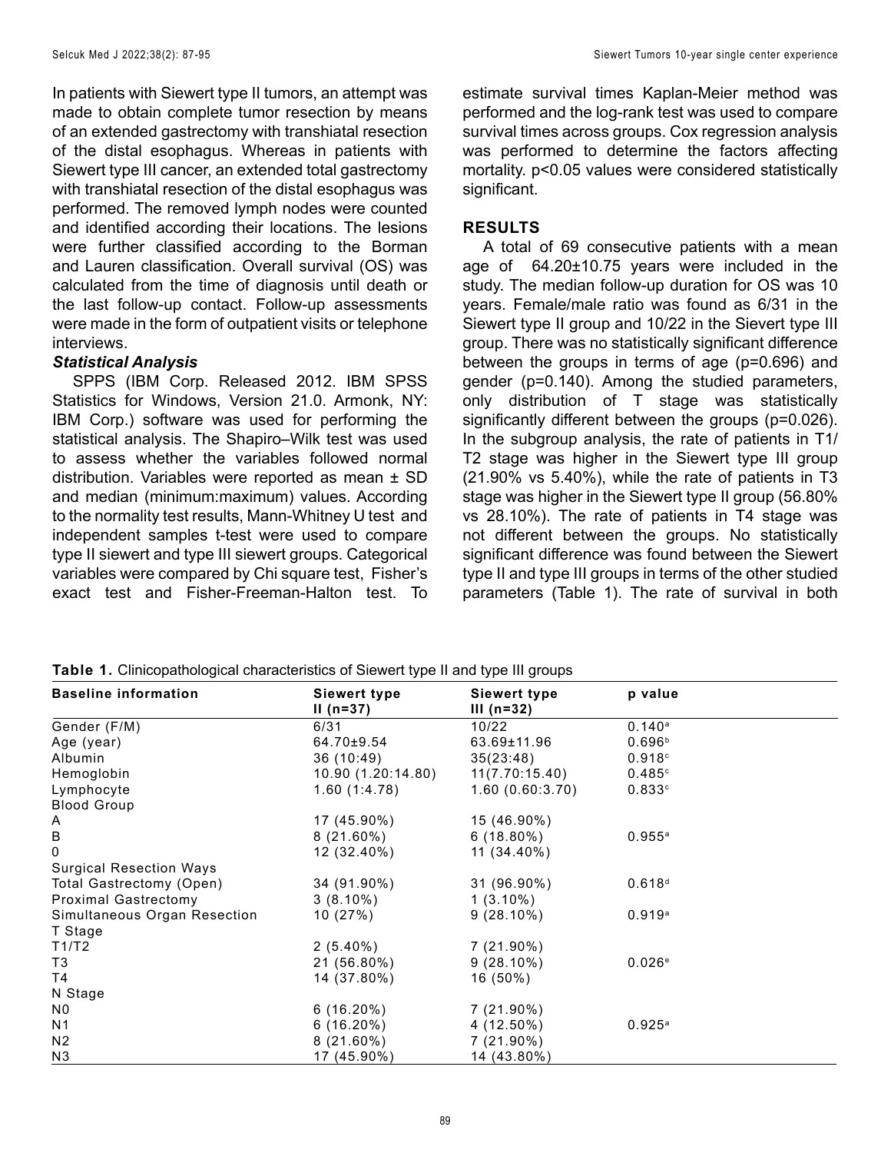In patients with Siewert type II tumors, an attempt was made to obtain complete tumor resection by means of an extended gastrectomy with transhiatal resection of the distal esophagus. Whereas in patients with Siewert type III cancer, an extended total gastrectomy with transhiatal resection of the distal esophagus was performed. The removed lymph nodes were counted and identified according their locations. The lesions were further classified according to the Borman and Lauren classification. Overall survival (OS) was calculated from the time of diagnosis until death or the last follow-up contact. Follow-up assessments were made in the form of outpatient visits or telephone interviews.

# *Statistical Analysis*

SPPS (IBM Corp. Released 2012. IBM SPSS Statistics for Windows, Version 21.0. Armonk, NY: IBM Corp.) software was used for performing the statistical analysis. The Shapiro–Wilk test was used to assess whether the variables followed normal distribution. Variables were reported as mean ± SD and median (minimum:maximum) values. According to the normality test results, Mann-Whitney U test and independent samples t-test were used to compare type II siewert and type III siewert groups. Categorical variables were compared by Chi square test, Fisher's exact test and Fisher-Freeman-Halton test. To estimate survival times Kaplan-Meier method was performed and the log-rank test was used to compare survival times across groups. Cox regression analysis was performed to determine the factors affecting mortality. p<0.05 values were considered statistically significant.

# **RESULTS**

A total of 69 consecutive patients with a mean age of 64.20±10.75 years were included in the study. The median follow-up duration for OS was 10 years. Female/male ratio was found as 6/31 in the Siewert type II group and 10/22 in the Sievert type III group. There was no statistically significant difference between the groups in terms of age (p=0.696) and gender (p=0.140). Among the studied parameters, only distribution of T stage was statistically significantly different between the groups (p=0.026). In the subgroup analysis, the rate of patients in T1/ T2 stage was higher in the Siewert type III group (21.90% vs 5.40%), while the rate of patients in T3 stage was higher in the Siewert type II group (56.80% vs 28.10%). The rate of patients in T4 stage was not different between the groups. No statistically significant difference was found between the Siewert type II and type III groups in terms of the other studied parameters (Table 1). The rate of survival in both

|  |  |  | Table 1. Clinicopathological characteristics of Siewert type II and type III groups |
|--|--|--|-------------------------------------------------------------------------------------|
|--|--|--|-------------------------------------------------------------------------------------|

| <b>Baseline information</b>    | Siewert type<br>$II (n=37)$ | Siewert type<br>III ( $n=32$ ) | p value            |
|--------------------------------|-----------------------------|--------------------------------|--------------------|
| Gender (F/M)                   | 6/31                        | 10/22                          | $0.140^{\circ}$    |
| Age (year)                     | 64.70±9.54                  | 63.69±11.96                    | 0.696 <sup>b</sup> |
| Albumin                        | 36 (10:49)                  | 35(23:48)                      | 0.918c             |
| Hemoglobin                     | 10.90 (1.20:14.80)          | 11(7.70:15.40)                 | 0.485c             |
| Lymphocyte                     | 1.60(1:4.78)                | 1.60(0.60:3.70)                | 0.833c             |
| <b>Blood Group</b>             |                             |                                |                    |
| Α                              | 17 (45.90%)                 | 15 (46.90%)                    |                    |
| $\sf B$                        | $8(21.60\%)$                | $6(18.80\%)$                   | $0.955^{\circ}$    |
| 0                              | 12 (32.40%)                 | 11 (34.40%)                    |                    |
| <b>Surgical Resection Ways</b> |                             |                                |                    |
| Total Gastrectomy (Open)       | 34 (91.90%)                 | 31 (96.90%)                    | 0.618 <sup>d</sup> |
| <b>Proximal Gastrectomy</b>    | $3(8.10\%)$                 | $1(3.10\%)$                    |                    |
| Simultaneous Organ Resection   | 10(27%)                     | $9(28.10\%)$                   | 0.919a             |
| T Stage                        |                             |                                |                    |
| T1/T2                          | $2(5.40\%)$                 | $7(21.90\%)$                   |                    |
| T3                             | 21 (56.80%)                 | $9(28.10\%)$                   | 0.026e             |
| Τ4                             | 14 (37.80%)                 | 16 (50%)                       |                    |
| N Stage                        |                             |                                |                    |
| N0                             | $6(16.20\%)$                | $7(21.90\%)$                   |                    |
| N <sub>1</sub>                 | $6(16.20\%)$                | 4 (12.50%)                     | $0.925^{\circ}$    |
| N <sub>2</sub>                 | $8(21.60\%)$                | $7(21.90\%)$                   |                    |
| N <sub>3</sub>                 | 17 (45.90%)                 | 14 (43.80%)                    |                    |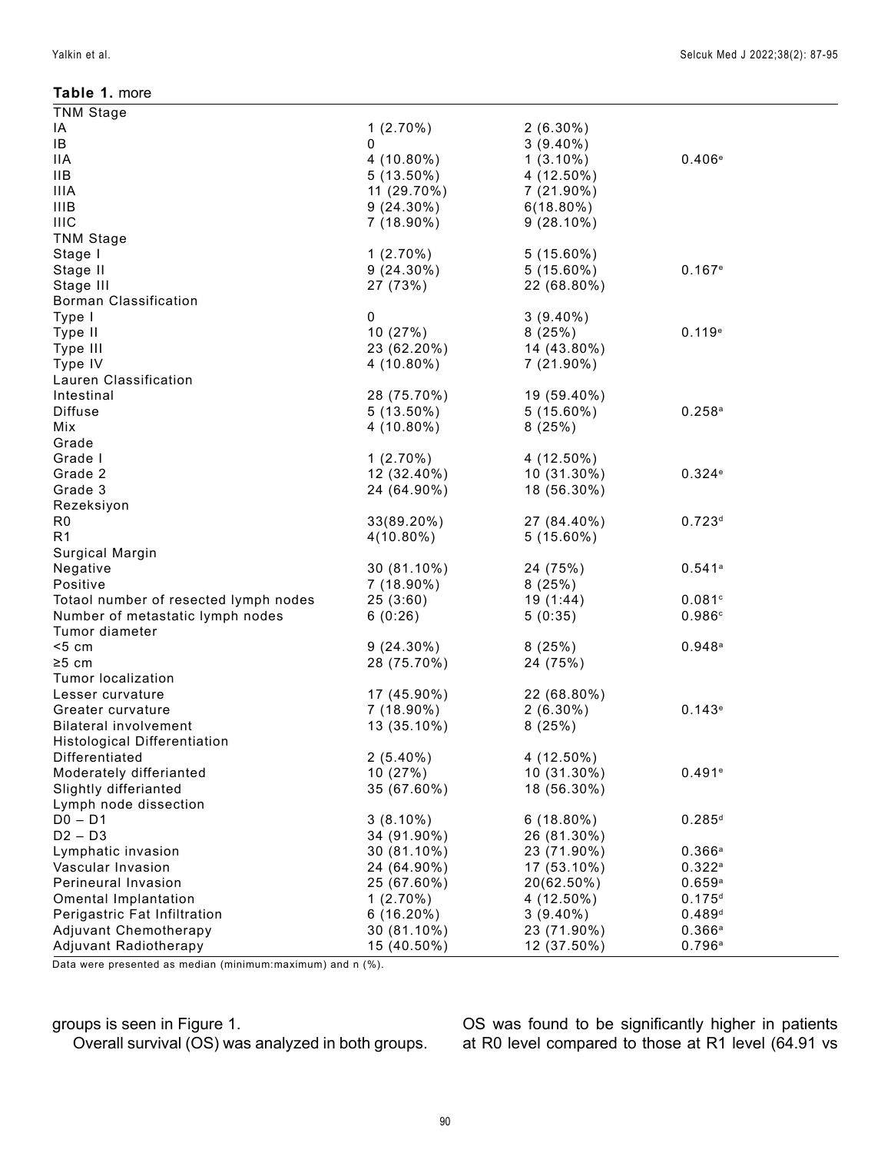#### **Table 1.** more

| <b>TNM Stage</b>                      |              |              |                      |
|---------------------------------------|--------------|--------------|----------------------|
| ΙA                                    | $1(2.70\%)$  | $2(6.30\%)$  |                      |
| IB                                    | 0            | $3(9.40\%)$  |                      |
| <b>IIA</b>                            | 4 (10.80%)   | $1(3.10\%)$  | 0.406e               |
| <b>IIB</b>                            | $5(13.50\%)$ | 4 (12.50%)   |                      |
| <b>IIIA</b>                           | 11 (29.70%)  | $7(21.90\%)$ |                      |
| <b>IIIB</b>                           | $9(24.30\%)$ | $6(18.80\%)$ |                      |
| <b>IIIC</b>                           | $7(18.90\%)$ | $9(28.10\%)$ |                      |
| <b>TNM Stage</b>                      |              |              |                      |
| Stage I                               | $1(2.70\%)$  | $5(15.60\%)$ |                      |
| Stage II                              | $9(24.30\%)$ | $5(15.60\%)$ | 0.167e               |
| Stage III                             | 27 (73%)     | 22 (68.80%)  |                      |
| <b>Borman Classification</b>          |              |              |                      |
| Type I                                | 0            | $3(9.40\%)$  |                      |
| Type II                               | 10(27%)      | 8(25%)       | 0.119e               |
| Type III                              | 23 (62.20%)  | 14 (43.80%)  |                      |
| Type IV                               | $4(10.80\%)$ | $7(21.90\%)$ |                      |
| Lauren Classification                 |              |              |                      |
| Intestinal                            | 28 (75.70%)  | 19 (59.40%)  |                      |
| <b>Diffuse</b>                        | $5(13.50\%)$ | $5(15.60\%)$ | 0.258a               |
|                                       |              |              |                      |
| Mix                                   | 4 (10.80%)   | 8(25%)       |                      |
| Grade                                 |              |              |                      |
| Grade I                               | $1(2.70\%)$  | 4 (12.50%)   |                      |
| Grade 2                               | 12 (32.40%)  | 10 (31.30%)  | 0.324e               |
| Grade 3                               | 24 (64.90%)  | 18 (56.30%)  |                      |
| Rezeksiyon                            |              |              |                      |
| R <sub>0</sub>                        | 33(89.20%)   | 27 (84.40%)  | 0.723 <sup>d</sup>   |
| R <sub>1</sub>                        | $4(10.80\%)$ | $5(15.60\%)$ |                      |
| Surgical Margin                       |              |              |                      |
| Negative                              | 30 (81.10%)  | 24 (75%)     | 0.541a               |
| Positive                              | 7 (18.90%)   | 8(25%)       |                      |
| Totaol number of resected lymph nodes | 25(3:60)     | 19(1:44)     | 0.081c               |
| Number of metastatic lymph nodes      | 6(0:26)      | 5(0:35)      | 0.986c               |
| Tumor diameter                        |              |              |                      |
| < 5 cm                                | $9(24.30\%)$ | 8(25%)       | 0.948a               |
| $\geq 5$ cm                           | 28 (75.70%)  | 24 (75%)     |                      |
| Tumor localization                    |              |              |                      |
| Lesser curvature                      | 17 (45.90%)  | 22 (68.80%)  |                      |
| Greater curvature                     | 7 (18.90%)   | $2(6.30\%)$  | 0.143e               |
| <b>Bilateral involvement</b>          | 13 (35.10%)  | 8(25%)       |                      |
| <b>Histological Differentiation</b>   |              |              |                      |
| Differentiated                        | $2(5.40\%)$  | 4 (12.50%)   |                      |
| Moderately differianted               | 10 (27%)     | 10 (31.30%)  | 0.491e               |
| Slightly differianted                 | 35 (67.60%)  | 18 (56.30%)  |                      |
| Lymph node dissection                 |              |              |                      |
| $D0 - D1$                             | $3(8.10\%)$  | $6(18.80\%)$ | $0.285$ <sup>d</sup> |
| $D2 - D3$                             | 34 (91.90%)  | 26 (81.30%)  |                      |
| Lymphatic invasion                    | 30 (81.10%)  | 23 (71.90%)  | 0.366a               |
| Vascular Invasion                     | 24 (64.90%)  | 17 (53.10%)  | 0.322a               |
| Perineural Invasion                   | 25 (67.60%)  | 20(62.50%)   | 0.659a               |
| Omental Implantation                  | $1(2.70\%)$  | $4(12.50\%)$ | 0.175 <sup>d</sup>   |
| Perigastric Fat Infiltration          | $6(16.20\%)$ | $3(9.40\%)$  | 0.489 <sup>d</sup>   |
| Adjuvant Chemotherapy                 | 30 (81.10%)  | 23 (71.90%)  | 0.366a               |
| Adjuvant Radiotherapy                 | 15 (40.50%)  | 12 (37.50%)  | 0.796a               |
|                                       |              |              |                      |

Data were presented as median (minimum:maximum) and n (%).

# groups is seen in Figure 1.

Overall survival (OS) was analyzed in both groups.

OS was found to be significantly higher in patients at R0 level compared to those at R1 level (64.91 vs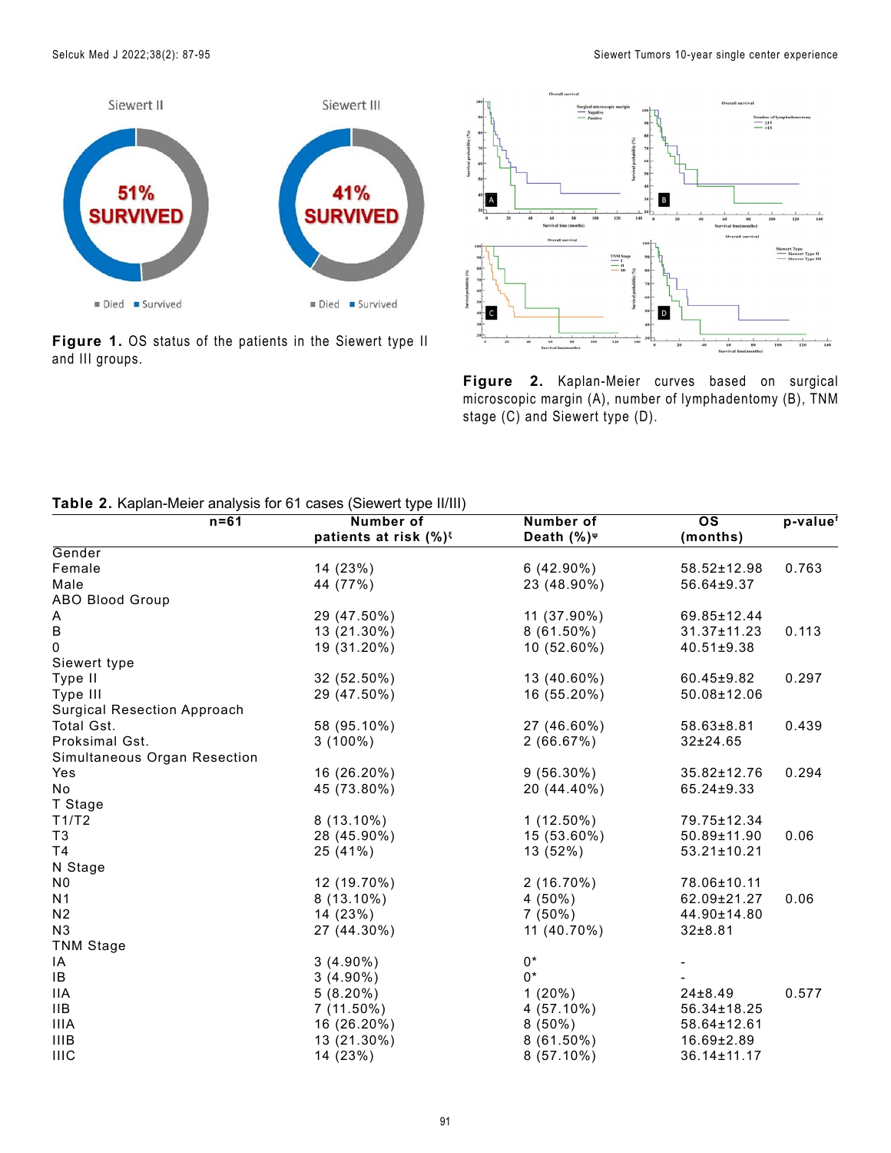

**Figure 1.** OS status of the patients in the Siewert type II and III groups.



**Figure 2.** Kaplan-Meier curves based on surgical microscopic margin (A), number of lymphadentomy (B), TNM stage (C) and Siewert type (D).

#### **Table 2.** Kaplan-Meier analysis for 61 cases (Siewert type II/III)

| $n = 61$                           | <b>Number of</b>                  | Number of           | $\overline{\text{os}}$ | p-value |
|------------------------------------|-----------------------------------|---------------------|------------------------|---------|
|                                    | patients at risk (%) <sup>§</sup> | Death $(\%)^{\psi}$ | (months)               |         |
| Gender                             |                                   |                     |                        |         |
| Female                             | 14 (23%)                          | $6(42.90\%)$        | 58.52±12.98            | 0.763   |
| Male                               | 44 (77%)                          | 23 (48.90%)         | 56.64±9.37             |         |
| <b>ABO Blood Group</b>             |                                   |                     |                        |         |
| Α                                  | 29 (47.50%)                       | 11 (37.90%)         | 69.85±12.44            |         |
| $\sf B$                            | 13 (21.30%)                       | $8(61.50\%)$        | $31.37 \pm 11.23$      | 0.113   |
| 0                                  | 19 (31.20%)                       | 10 (52.60%)         | $40.51 \pm 9.38$       |         |
| Siewert type                       |                                   |                     |                        |         |
| Type II                            | 32 (52.50%)                       | 13 (40.60%)         | $60.45 \pm 9.82$       | 0.297   |
| Type III                           | 29 (47.50%)                       | 16 (55.20%)         | 50.08±12.06            |         |
| <b>Surgical Resection Approach</b> |                                   |                     |                        |         |
| Total Gst.                         | 58 (95.10%)                       | 27 (46.60%)         | $58.63 \pm 8.81$       | 0.439   |
| Proksimal Gst.                     | $3(100\%)$                        | 2(66.67%)           | $32 \pm 24.65$         |         |
| Simultaneous Organ Resection       |                                   |                     |                        |         |
| Yes                                | 16 (26.20%)                       | $9(56.30\%)$        | 35.82±12.76            | 0.294   |
| No                                 | 45 (73.80%)                       | 20 (44.40%)         | 65.24±9.33             |         |
| T Stage                            |                                   |                     |                        |         |
| T1/T2                              | $8(13.10\%)$                      | $1(12.50\%)$        | 79.75±12.34            |         |
| T <sub>3</sub>                     | 28 (45.90%)                       | 15 (53.60%)         | 50.89±11.90            | 0.06    |
| T4                                 | 25 (41%)                          | 13 (52%)            | 53.21±10.21            |         |
| N Stage                            |                                   |                     |                        |         |
| N <sub>0</sub>                     | 12 (19.70%)                       | $2(16.70\%)$        | 78.06±10.11            |         |
| N <sub>1</sub>                     | $8(13.10\%)$                      | $4(50\%)$           | 62.09±21.27            | 0.06    |
| N <sub>2</sub>                     | 14 (23%)                          | $7(50\%)$           | 44.90±14.80            |         |
| N <sub>3</sub>                     | 27 (44.30%)                       | 11 (40.70%)         | $32 \pm 8.81$          |         |
| <b>TNM Stage</b>                   |                                   |                     |                        |         |
| IA                                 | $3(4.90\%)$                       | $0*$                |                        |         |
| IB                                 | $3(4.90\%)$                       | $0*$                |                        |         |
| <b>IIA</b>                         | $5(8.20\%)$                       | $1(20\%)$           | 24±8.49                | 0.577   |
| IIB                                | $7(11.50\%)$                      | $4(57.10\%)$        | 56.34±18.25            |         |
| <b>IIIA</b>                        | 16 (26.20%)                       | $8(50\%)$           | 58.64±12.61            |         |
| <b>IIIB</b>                        | 13 (21.30%)                       | $8(61.50\%)$        | $16.69 \pm 2.89$       |         |
| <b>IIIC</b>                        | 14 (23%)                          | $8(57.10\%)$        | 36.14±11.17            |         |
|                                    |                                   |                     |                        |         |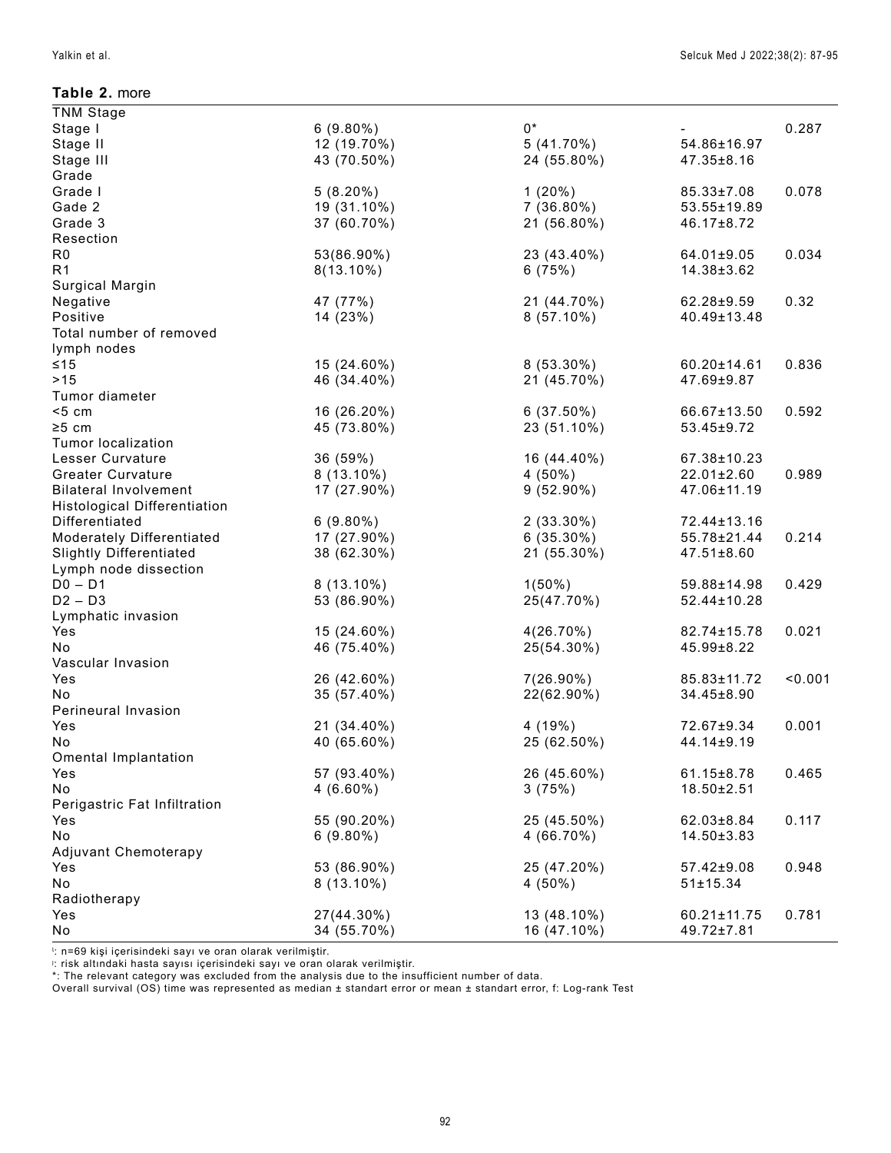#### **Table 2.** more

| <b>TNM</b> Stage                       |              |              |                  |         |
|----------------------------------------|--------------|--------------|------------------|---------|
| Stage I                                | $6(9.80\%)$  | $0^*$        |                  | 0.287   |
| Stage II                               | 12 (19.70%)  | $5(41.70\%)$ | 54.86±16.97      |         |
| Stage III                              | 43 (70.50%)  | 24 (55.80%)  | 47.35±8.16       |         |
| Grade                                  |              |              |                  |         |
| Grade I                                | $5(8.20\%)$  | $1(20\%)$    | 85.33±7.08       | 0.078   |
| Gade 2                                 | 19 (31.10%)  | $7(36.80\%)$ | 53.55±19.89      |         |
| Grade 3                                | 37 (60.70%)  | 21 (56.80%)  | 46.17±8.72       |         |
| Resection                              |              |              |                  |         |
| R <sub>0</sub>                         | 53(86.90%)   | 23 (43.40%)  | 64.01±9.05       | 0.034   |
| R <sub>1</sub>                         | $8(13.10\%)$ | 6(75%)       | 14.38±3.62       |         |
| Surgical Margin                        |              |              |                  |         |
| Negative                               | 47 (77%)     | 21 (44.70%)  | 62.28±9.59       | 0.32    |
| Positive                               | 14 (23%)     | $8(57.10\%)$ | 40.49±13.48      |         |
| Total number of removed<br>lymph nodes |              |              |                  |         |
| ≤15                                    | 15 (24.60%)  | $8(53.30\%)$ | 60.20±14.61      | 0.836   |
| $>15$                                  | 46 (34.40%)  | 21 (45.70%)  | 47.69±9.87       |         |
| Tumor diameter                         |              |              |                  |         |
| < 5 cm                                 | 16 (26.20%)  | $6(37.50\%)$ | 66.67±13.50      | 0.592   |
| $\geq 5$ cm                            | 45 (73.80%)  | 23 (51.10%)  | 53.45±9.72       |         |
| <b>Tumor localization</b>              |              |              |                  |         |
| Lesser Curvature                       | 36 (59%)     | 16 (44.40%)  | 67.38±10.23      |         |
| <b>Greater Curvature</b>               | $8(13.10\%)$ | $4(50\%)$    | 22.01±2.60       | 0.989   |
| <b>Bilateral Involvement</b>           | 17 (27.90%)  | $9(52.90\%)$ | 47.06±11.19      |         |
| <b>Histological Differentiation</b>    |              |              |                  |         |
| Differentiated                         | $6(9.80\%)$  | $2(33.30\%)$ | 72.44±13.16      |         |
| Moderately Differentiated              | 17 (27.90%)  | $6(35.30\%)$ | 55.78±21.44      | 0.214   |
| <b>Slightly Differentiated</b>         | 38 (62.30%)  | 21 (55.30%)  | $47.51 \pm 8.60$ |         |
| Lymph node dissection                  |              |              |                  |         |
| $D0 - D1$                              | $8(13.10\%)$ | $1(50\%)$    | 59.88±14.98      | 0.429   |
| $D2 - D3$                              | 53 (86.90%)  | 25(47.70%)   | 52.44±10.28      |         |
| Lymphatic invasion                     |              |              |                  |         |
| Yes                                    | 15 (24.60%)  | $4(26.70\%)$ | 82.74±15.78      | 0.021   |
| <b>No</b>                              | 46 (75.40%)  | 25(54.30%)   | 45.99±8.22       |         |
| Vascular Invasion                      |              |              |                  |         |
| Yes                                    | 26 (42.60%)  | $7(26.90\%)$ | 85.83±11.72      | < 0.001 |
| No.                                    | 35 (57.40%)  | 22(62.90%)   | 34.45±8.90       |         |
| Perineural Invasion                    |              |              |                  |         |
| Yes                                    | 21 (34.40%)  | 4(19%)       | 72.67±9.34       | 0.001   |
| No                                     | 40 (65.60%)  | 25 (62.50%)  | 44.14±9.19       |         |
| Omental Implantation                   |              |              |                  |         |
| Yes                                    | 57 (93.40%)  | 26 (45.60%)  | 61.15±8.78       | 0.465   |
| No                                     | $4(6.60\%)$  | 3(75%)       | 18.50±2.51       |         |
| Perigastric Fat Infiltration           |              |              |                  |         |
| Yes                                    | 55 (90.20%)  | 25 (45.50%)  | 62.03±8.84       | 0.117   |
| No                                     | $6(9.80\%)$  | $4(66.70\%)$ | 14.50±3.83       |         |
| Adjuvant Chemoterapy                   |              |              |                  |         |
| Yes                                    | 53 (86.90%)  | 25 (47.20%)  | 57.42±9.08       | 0.948   |
| No                                     | $8(13.10\%)$ | $4(50\%)$    | 51±15.34         |         |
| Radiotherapy                           |              |              |                  |         |
| Yes                                    | 27(44.30%)   | 13 (48.10%)  | 60.21±11.75      | 0.781   |
| No                                     | 34 (55.70%)  | 16 (47.10%)  | 49.72±7.81       |         |

l : n=69 kişi içerisindeki sayı ve oran olarak verilmiştir. ȷ : risk altındaki hasta sayısı içerisindeki sayı ve oran olarak verilmiştir.

\*: The relevant category was excluded from the analysis due to the insufficient number of data.

Overall survival (OS) time was represented as median ± standart error or mean ± standart error, f: Log-rank Test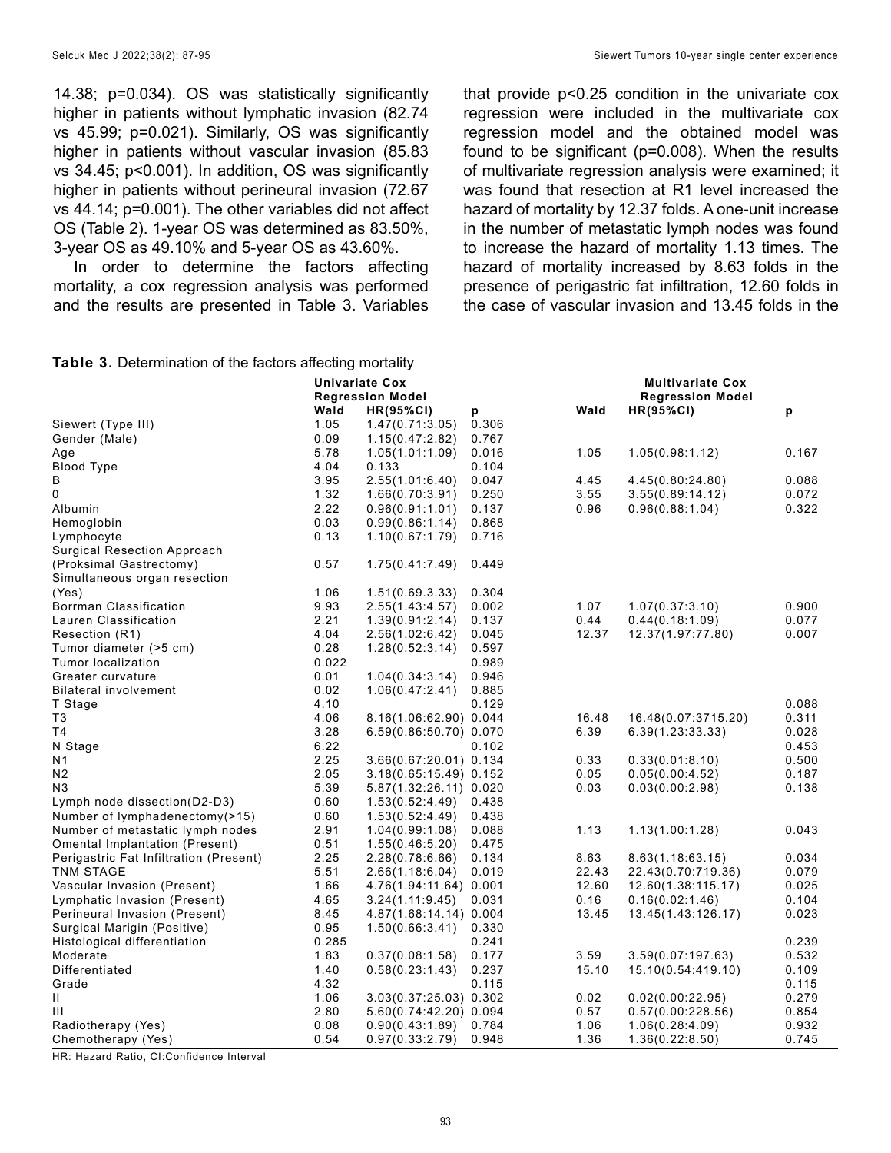14.38; p=0.034). OS was statistically significantly higher in patients without lymphatic invasion (82.74 vs 45.99; p=0.021). Similarly, OS was significantly higher in patients without vascular invasion (85.83 vs 34.45; p<0.001). In addition, OS was significantly higher in patients without perineural invasion (72.67 vs 44.14; p=0.001). The other variables did not affect OS (Table 2). 1-year OS was determined as 83.50%, 3-year OS as 49.10% and 5-year OS as 43.60%.

In order to determine the factors affecting mortality, a cox regression analysis was performed and the results are presented in Table 3. Variables that provide p<0.25 condition in the univariate cox regression were included in the multivariate cox regression model and the obtained model was found to be significant (p=0.008). When the results of multivariate regression analysis were examined; it was found that resection at R1 level increased the hazard of mortality by 12.37 folds. A one-unit increase in the number of metastatic lymph nodes was found to increase the hazard of mortality 1.13 times. The hazard of mortality increased by 8.63 folds in the presence of perigastric fat infiltration, 12.60 folds in the case of vascular invasion and 13.45 folds in the

# **Table 3.** Determination of the factors affecting mortality

| Wald<br>Wald<br>$HR(95\%CI)$<br>$HR(95\%CI)$<br>p<br>p<br>Siewert (Type III)<br>1.47(0.71:3.05)<br>0.306<br>1.05<br>Gender (Male)<br>0.09<br>1.15(0.47:2.82)<br>0.767<br>5.78<br>0.016<br>1.05<br>1.05(0.98:1.12)<br>1.05(1.01:1.09)<br>Age<br><b>Blood Type</b><br>4.04<br>0.133<br>0.104<br>В<br>3.95<br>2.55(1.01:6.40)<br>0.047<br>4.45<br>4.45(0.80:24.80)<br>0<br>3.55<br>1.32<br>0.250<br>3.55(0.89:14.12)<br>1.66(0.70:3.91)<br>2.22<br>0.96<br>Albumin<br>0.96(0.88:1.04)<br>0.96(0.91:1.01)<br>0.137<br>Hemoglobin<br>0.03<br>0.99(0.86:1.14)<br>0.868<br>Lymphocyte<br>0.13<br>1.10(0.67:1.79)<br>0.716<br><b>Surgical Resection Approach</b><br>(Proksimal Gastrectomy)<br>0.57<br>0.449<br>1.75(0.41:7.49)<br>Simultaneous organ resection<br>1.06<br>0.304<br>(Yes)<br>1.51(0.69.3.33)<br>Borrman Classification<br>9.93<br>0.002<br>1.07<br>1.07(0.37:3.10)<br>2.55(1.43:4.57)<br>Lauren Classification<br>2.21<br>0.137<br>0.44<br>0.44(0.18:1.09)<br>1.39(0.91:2.14)<br>12.37<br>12.37(1.97:77.80)<br>Resection (R1)<br>4.04<br>2.56(1.02:6.42)<br>0.045 | Univariate Cox<br><b>Regression Model</b> |  |  | <b>Multivariate Cox</b><br><b>Regression Model</b> |       |
|---------------------------------------------------------------------------------------------------------------------------------------------------------------------------------------------------------------------------------------------------------------------------------------------------------------------------------------------------------------------------------------------------------------------------------------------------------------------------------------------------------------------------------------------------------------------------------------------------------------------------------------------------------------------------------------------------------------------------------------------------------------------------------------------------------------------------------------------------------------------------------------------------------------------------------------------------------------------------------------------------------------------------------------------------------------------------|-------------------------------------------|--|--|----------------------------------------------------|-------|
|                                                                                                                                                                                                                                                                                                                                                                                                                                                                                                                                                                                                                                                                                                                                                                                                                                                                                                                                                                                                                                                                           |                                           |  |  |                                                    |       |
|                                                                                                                                                                                                                                                                                                                                                                                                                                                                                                                                                                                                                                                                                                                                                                                                                                                                                                                                                                                                                                                                           |                                           |  |  |                                                    |       |
|                                                                                                                                                                                                                                                                                                                                                                                                                                                                                                                                                                                                                                                                                                                                                                                                                                                                                                                                                                                                                                                                           |                                           |  |  |                                                    |       |
|                                                                                                                                                                                                                                                                                                                                                                                                                                                                                                                                                                                                                                                                                                                                                                                                                                                                                                                                                                                                                                                                           |                                           |  |  |                                                    | 0.167 |
|                                                                                                                                                                                                                                                                                                                                                                                                                                                                                                                                                                                                                                                                                                                                                                                                                                                                                                                                                                                                                                                                           |                                           |  |  |                                                    |       |
|                                                                                                                                                                                                                                                                                                                                                                                                                                                                                                                                                                                                                                                                                                                                                                                                                                                                                                                                                                                                                                                                           |                                           |  |  |                                                    | 0.088 |
|                                                                                                                                                                                                                                                                                                                                                                                                                                                                                                                                                                                                                                                                                                                                                                                                                                                                                                                                                                                                                                                                           |                                           |  |  |                                                    | 0.072 |
|                                                                                                                                                                                                                                                                                                                                                                                                                                                                                                                                                                                                                                                                                                                                                                                                                                                                                                                                                                                                                                                                           |                                           |  |  |                                                    | 0.322 |
|                                                                                                                                                                                                                                                                                                                                                                                                                                                                                                                                                                                                                                                                                                                                                                                                                                                                                                                                                                                                                                                                           |                                           |  |  |                                                    |       |
|                                                                                                                                                                                                                                                                                                                                                                                                                                                                                                                                                                                                                                                                                                                                                                                                                                                                                                                                                                                                                                                                           |                                           |  |  |                                                    |       |
|                                                                                                                                                                                                                                                                                                                                                                                                                                                                                                                                                                                                                                                                                                                                                                                                                                                                                                                                                                                                                                                                           |                                           |  |  |                                                    |       |
|                                                                                                                                                                                                                                                                                                                                                                                                                                                                                                                                                                                                                                                                                                                                                                                                                                                                                                                                                                                                                                                                           |                                           |  |  |                                                    |       |
|                                                                                                                                                                                                                                                                                                                                                                                                                                                                                                                                                                                                                                                                                                                                                                                                                                                                                                                                                                                                                                                                           |                                           |  |  |                                                    |       |
|                                                                                                                                                                                                                                                                                                                                                                                                                                                                                                                                                                                                                                                                                                                                                                                                                                                                                                                                                                                                                                                                           |                                           |  |  |                                                    |       |
|                                                                                                                                                                                                                                                                                                                                                                                                                                                                                                                                                                                                                                                                                                                                                                                                                                                                                                                                                                                                                                                                           |                                           |  |  |                                                    | 0.900 |
|                                                                                                                                                                                                                                                                                                                                                                                                                                                                                                                                                                                                                                                                                                                                                                                                                                                                                                                                                                                                                                                                           |                                           |  |  |                                                    | 0.077 |
|                                                                                                                                                                                                                                                                                                                                                                                                                                                                                                                                                                                                                                                                                                                                                                                                                                                                                                                                                                                                                                                                           |                                           |  |  |                                                    | 0.007 |
| Tumor diameter (>5 cm)<br>0.28<br>1.28(0.52:3.14)<br>0.597                                                                                                                                                                                                                                                                                                                                                                                                                                                                                                                                                                                                                                                                                                                                                                                                                                                                                                                                                                                                                |                                           |  |  |                                                    |       |
| 0.022<br>Tumor localization<br>0.989                                                                                                                                                                                                                                                                                                                                                                                                                                                                                                                                                                                                                                                                                                                                                                                                                                                                                                                                                                                                                                      |                                           |  |  |                                                    |       |
| 0.01<br>Greater curvature<br>1.04(0.34:3.14)<br>0.946                                                                                                                                                                                                                                                                                                                                                                                                                                                                                                                                                                                                                                                                                                                                                                                                                                                                                                                                                                                                                     |                                           |  |  |                                                    |       |
| 0.02<br>Bilateral involvement<br>1.06(0.47:2.41)<br>0.885                                                                                                                                                                                                                                                                                                                                                                                                                                                                                                                                                                                                                                                                                                                                                                                                                                                                                                                                                                                                                 |                                           |  |  |                                                    |       |
| 4.10<br>0.129<br>T Stage                                                                                                                                                                                                                                                                                                                                                                                                                                                                                                                                                                                                                                                                                                                                                                                                                                                                                                                                                                                                                                                  |                                           |  |  |                                                    | 0.088 |
| 4.06<br>8.16(1.06:62.90) 0.044<br>16.48(0.07:3715.20)<br>T3<br>16.48                                                                                                                                                                                                                                                                                                                                                                                                                                                                                                                                                                                                                                                                                                                                                                                                                                                                                                                                                                                                      |                                           |  |  |                                                    | 0.311 |
| T <sub>4</sub><br>3.28<br>6.59(0.86:50.70) 0.070<br>6.39<br>6.39(1.23:33.33)                                                                                                                                                                                                                                                                                                                                                                                                                                                                                                                                                                                                                                                                                                                                                                                                                                                                                                                                                                                              |                                           |  |  |                                                    | 0.028 |
| N Stage<br>6.22<br>0.102                                                                                                                                                                                                                                                                                                                                                                                                                                                                                                                                                                                                                                                                                                                                                                                                                                                                                                                                                                                                                                                  |                                           |  |  |                                                    | 0.453 |
| 2.25<br>3.66(0.67:20.01) 0.134<br>0.33<br>0.33(0.01:8.10)<br>N1                                                                                                                                                                                                                                                                                                                                                                                                                                                                                                                                                                                                                                                                                                                                                                                                                                                                                                                                                                                                           |                                           |  |  |                                                    | 0.500 |
| 2.05<br>0.05<br>N2<br>$3.18(0.65:15.49)$ 0.152<br>0.05(0.00:4.52)                                                                                                                                                                                                                                                                                                                                                                                                                                                                                                                                                                                                                                                                                                                                                                                                                                                                                                                                                                                                         |                                           |  |  |                                                    | 0.187 |
| 5.39<br>0.03<br>N <sub>3</sub><br>5.87(1.32:26.11) 0.020<br>0.03(0.00:2.98)                                                                                                                                                                                                                                                                                                                                                                                                                                                                                                                                                                                                                                                                                                                                                                                                                                                                                                                                                                                               |                                           |  |  |                                                    | 0.138 |
| Lymph node dissection(D2-D3)<br>0.60<br>1.53(0.52:4.49)<br>0.438                                                                                                                                                                                                                                                                                                                                                                                                                                                                                                                                                                                                                                                                                                                                                                                                                                                                                                                                                                                                          |                                           |  |  |                                                    |       |
| Number of lymphadenectomy(>15)<br>0.60<br>1.53(0.52:4.49)<br>0.438                                                                                                                                                                                                                                                                                                                                                                                                                                                                                                                                                                                                                                                                                                                                                                                                                                                                                                                                                                                                        |                                           |  |  |                                                    |       |
| Number of metastatic lymph nodes<br>2.91<br>1.13<br>1.13(1.00:1.28)<br>1.04(0.99:1.08)<br>0.088                                                                                                                                                                                                                                                                                                                                                                                                                                                                                                                                                                                                                                                                                                                                                                                                                                                                                                                                                                           |                                           |  |  |                                                    | 0.043 |
| Omental Implantation (Present)<br>0.51<br>1.55(0.46:5.20)<br>0.475                                                                                                                                                                                                                                                                                                                                                                                                                                                                                                                                                                                                                                                                                                                                                                                                                                                                                                                                                                                                        |                                           |  |  |                                                    |       |
| Perigastric Fat Infiltration (Present)<br>2.25<br>8.63<br>2.28(0.78:6.66)<br>0.134<br>8.63(1.18:63.15)                                                                                                                                                                                                                                                                                                                                                                                                                                                                                                                                                                                                                                                                                                                                                                                                                                                                                                                                                                    |                                           |  |  |                                                    | 0.034 |
| 5.51<br>TNM STAGE<br>2.66(1.18:6.04)<br>0.019<br>22.43<br>22.43(0.70:719.36)                                                                                                                                                                                                                                                                                                                                                                                                                                                                                                                                                                                                                                                                                                                                                                                                                                                                                                                                                                                              |                                           |  |  |                                                    | 0.079 |
| Vascular Invasion (Present)<br>1.66<br>12.60<br>12.60(1.38:115.17)<br>4.76(1.94:11.64) 0.001                                                                                                                                                                                                                                                                                                                                                                                                                                                                                                                                                                                                                                                                                                                                                                                                                                                                                                                                                                              |                                           |  |  |                                                    | 0.025 |
| Lymphatic Invasion (Present)<br>4.65<br>0.031<br>0.16<br>0.16(0.02:1.46)<br>3.24(1.11:9.45)                                                                                                                                                                                                                                                                                                                                                                                                                                                                                                                                                                                                                                                                                                                                                                                                                                                                                                                                                                               |                                           |  |  |                                                    | 0.104 |
| Perineural Invasion (Present)<br>8.45<br>4.87(1.68:14.14) 0.004<br>13.45<br>13.45(1.43:126.17)                                                                                                                                                                                                                                                                                                                                                                                                                                                                                                                                                                                                                                                                                                                                                                                                                                                                                                                                                                            |                                           |  |  |                                                    | 0.023 |
| Surgical Marigin (Positive)<br>0.95<br>1.50(0.66:3.41)<br>0.330                                                                                                                                                                                                                                                                                                                                                                                                                                                                                                                                                                                                                                                                                                                                                                                                                                                                                                                                                                                                           |                                           |  |  |                                                    |       |
| Histological differentiation<br>0.285<br>0.241                                                                                                                                                                                                                                                                                                                                                                                                                                                                                                                                                                                                                                                                                                                                                                                                                                                                                                                                                                                                                            |                                           |  |  |                                                    | 0.239 |
| 3.59<br>3.59(0.07:197.63)<br>Moderate<br>1.83<br>0.37(0.08:1.58)<br>0.177                                                                                                                                                                                                                                                                                                                                                                                                                                                                                                                                                                                                                                                                                                                                                                                                                                                                                                                                                                                                 |                                           |  |  |                                                    | 0.532 |
| 0.58(0.23:1.43)<br>15.10<br>15.10(0.54:419.10)<br>Differentiated<br>1.40<br>0.237                                                                                                                                                                                                                                                                                                                                                                                                                                                                                                                                                                                                                                                                                                                                                                                                                                                                                                                                                                                         |                                           |  |  |                                                    | 0.109 |
| Grade<br>4.32<br>0.115                                                                                                                                                                                                                                                                                                                                                                                                                                                                                                                                                                                                                                                                                                                                                                                                                                                                                                                                                                                                                                                    |                                           |  |  |                                                    | 0.115 |
| 1.06<br>3.03(0.37:25.03) 0.302<br>0.02(0.00:22.95)<br>Ш<br>0.02                                                                                                                                                                                                                                                                                                                                                                                                                                                                                                                                                                                                                                                                                                                                                                                                                                                                                                                                                                                                           |                                           |  |  |                                                    | 0.279 |
| Ш<br>2.80<br>5.60(0.74:42.20) 0.094<br>0.57<br>0.57(0.00:228.56)                                                                                                                                                                                                                                                                                                                                                                                                                                                                                                                                                                                                                                                                                                                                                                                                                                                                                                                                                                                                          |                                           |  |  |                                                    | 0.854 |
| Radiotherapy (Yes)<br>0.08<br>1.06<br>1.06(0.28:4.09)<br>0.90(0.43:1.89)<br>0.784                                                                                                                                                                                                                                                                                                                                                                                                                                                                                                                                                                                                                                                                                                                                                                                                                                                                                                                                                                                         |                                           |  |  |                                                    | 0.932 |
| 0.54<br>1.36<br>Chemotherapy (Yes)<br>0.97(0.33:2.79)<br>0.948<br>1.36(0.22:8.50)                                                                                                                                                                                                                                                                                                                                                                                                                                                                                                                                                                                                                                                                                                                                                                                                                                                                                                                                                                                         |                                           |  |  |                                                    | 0.745 |

HR: Hazard Ratio, CI:Confidence Interval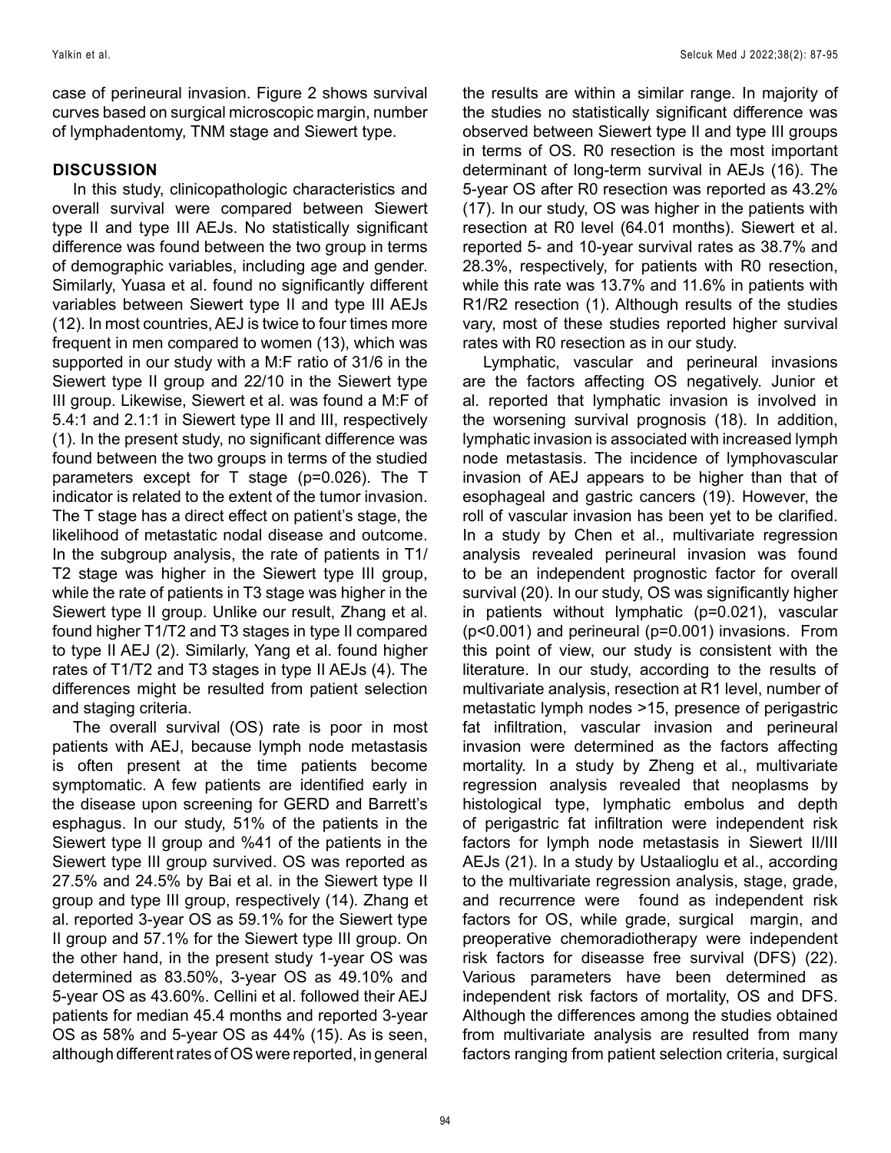case of perineural invasion. Figure 2 shows survival curves based on surgical microscopic margin, number of lymphadentomy, TNM stage and Siewert type.

# **DISCUSSION**

In this study, clinicopathologic characteristics and overall survival were compared between Siewert type II and type III AEJs. No statistically significant difference was found between the two group in terms of demographic variables, including age and gender. Similarly, Yuasa et al. found no significantly different variables between Siewert type II and type III AEJs (12). In most countries, AEJ is twice to four times more frequent in men compared to women (13), which was supported in our study with a M:F ratio of 31/6 in the Siewert type II group and 22/10 in the Siewert type III group. Likewise, Siewert et al. was found a M:F of 5.4:1 and 2.1:1 in Siewert type II and III, respectively (1). In the present study, no significant difference was found between the two groups in terms of the studied parameters except for T stage (p=0.026). The T indicator is related to the extent of the tumor invasion. The T stage has a direct effect on patient's stage, the likelihood of metastatic nodal disease and outcome. In the subgroup analysis, the rate of patients in T1/ T2 stage was higher in the Siewert type III group, while the rate of patients in T3 stage was higher in the Siewert type II group. Unlike our result, Zhang et al. found higher T1/T2 and T3 stages in type II compared to type II AEJ (2). Similarly, Yang et al. found higher rates of T1/T2 and T3 stages in type II AEJs (4). The differences might be resulted from patient selection and staging criteria.

The overall survival (OS) rate is poor in most patients with AEJ, because lymph node metastasis is often present at the time patients become symptomatic. A few patients are identified early in the disease upon screening for GERD and Barrett's esphagus. In our study, 51% of the patients in the Siewert type II group and %41 of the patients in the Siewert type III group survived. OS was reported as 27.5% and 24.5% by Bai et al. in the Siewert type II group and type III group, respectively (14). Zhang et al. reported 3-year OS as 59.1% for the Siewert type II group and 57.1% for the Siewert type III group. On the other hand, in the present study 1-year OS was determined as 83.50%, 3-year OS as 49.10% and 5-year OS as 43.60%. Cellini et al. followed their AEJ patients for median 45.4 months and reported 3-year OS as 58% and 5-year OS as 44% (15). As is seen, although different rates of OS were reported, in general

the results are within a similar range. In majority of the studies no statistically significant difference was observed between Siewert type II and type III groups in terms of OS. R0 resection is the most important determinant of long-term survival in AEJs (16). The 5-year OS after R0 resection was reported as 43.2% (17). In our study, OS was higher in the patients with resection at R0 level (64.01 months). Siewert et al. reported 5- and 10-year survival rates as 38.7% and 28.3%, respectively, for patients with R0 resection, while this rate was 13.7% and 11.6% in patients with R1/R2 resection (1). Although results of the studies vary, most of these studies reported higher survival rates with R0 resection as in our study.

Lymphatic, vascular and perineural invasions are the factors affecting OS negatively. Junior et al. reported that lymphatic invasion is involved in the worsening survival prognosis (18). In addition, lymphatic invasion is associated with increased lymph node metastasis. The incidence of lymphovascular invasion of AEJ appears to be higher than that of esophageal and gastric cancers (19). However, the roll of vascular invasion has been yet to be clarified. In a study by Chen et al., multivariate regression analysis revealed perineural invasion was found to be an independent prognostic factor for overall survival (20). In our study, OS was significantly higher in patients without lymphatic (p=0.021), vascular (p<0.001) and perineural (p=0.001) invasions. From this point of view, our study is consistent with the literature. In our study, according to the results of multivariate analysis, resection at R1 level, number of metastatic lymph nodes >15, presence of perigastric fat infiltration, vascular invasion and perineural invasion were determined as the factors affecting mortality. In a study by Zheng et al., multivariate regression analysis revealed that neoplasms by histological type, lymphatic embolus and depth of perigastric fat infiltration were independent risk factors for lymph node metastasis in Siewert II/III AEJs (21). In a study by Ustaalioglu et al., according to the multivariate regression analysis, stage, grade, and recurrence were found as independent risk factors for OS, while grade, surgical margin, and preoperative chemoradiotherapy were independent risk factors for diseasse free survival (DFS) (22). Various parameters have been determined as independent risk factors of mortality, OS and DFS. Although the differences among the studies obtained from multivariate analysis are resulted from many factors ranging from patient selection criteria, surgical